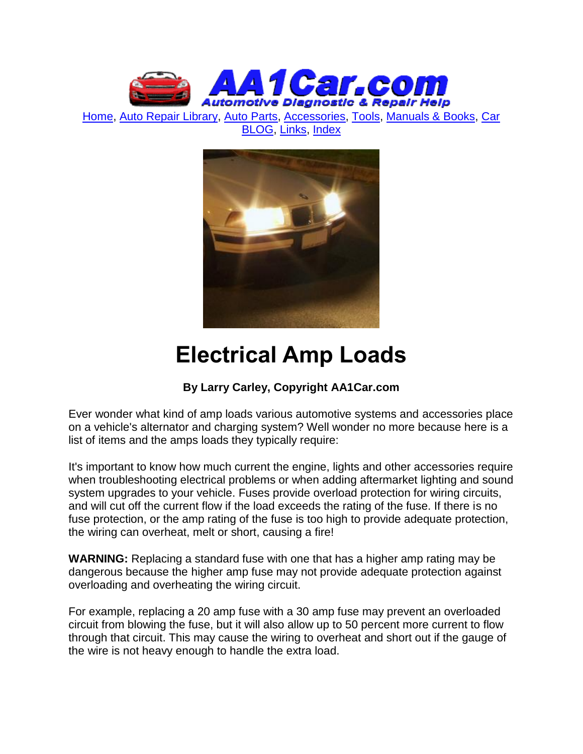

[Home,](http://www.aa1car.com/) [Auto Repair Library,](http://www.aa1car.com/library.htm) [Auto Parts,](http://www.aa1car.com/links_parts.htm) [Accessories,](http://www.aa1car.com/auto-accessories.html) [Tools,](http://www.aa1car.com/links_tools.htm) [Manuals & Books,](http://www.aa1car.com/links_books.htm) [Car](http://www.aa1car.com/blog/blog.htm)  [BLOG,](http://www.aa1car.com/blog/blog.htm) [Links,](http://www.aa1car.com/links.htm) [Index](http://www.aa1car.com/index_alphabetical.htm)



# **Electrical Amp Loads**

# **By Larry Carley, Copyright AA1Car.com**

Ever wonder what kind of amp loads various automotive systems and accessories place on a vehicle's alternator and charging system? Well wonder no more because here is a list of items and the amps loads they typically require:

It's important to know how much current the engine, lights and other accessories require when troubleshooting electrical problems or when adding aftermarket lighting and sound system upgrades to your vehicle. Fuses provide overload protection for wiring circuits, and will cut off the current flow if the load exceeds the rating of the fuse. If there is no fuse protection, or the amp rating of the fuse is too high to provide adequate protection, the wiring can overheat, melt or short, causing a fire!

**WARNING:** Replacing a standard fuse with one that has a higher amp rating may be dangerous because the higher amp fuse may not provide adequate protection against overloading and overheating the wiring circuit.

For example, replacing a 20 amp fuse with a 30 amp fuse may prevent an overloaded circuit from blowing the fuse, but it will also allow up to 50 percent more current to flow through that circuit. This may cause the wiring to overheat and short out if the gauge of the wire is not heavy enough to handle the extra load.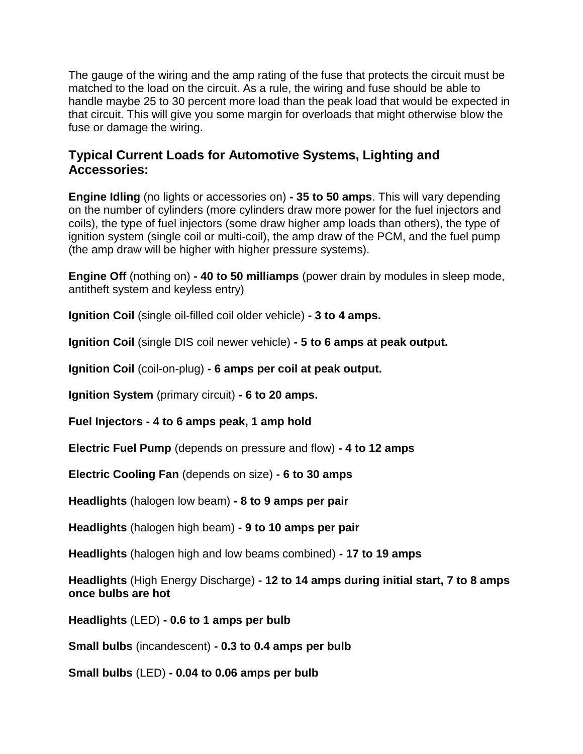The gauge of the wiring and the amp rating of the fuse that protects the circuit must be matched to the load on the circuit. As a rule, the wiring and fuse should be able to handle maybe 25 to 30 percent more load than the peak load that would be expected in that circuit. This will give you some margin for overloads that might otherwise blow the fuse or damage the wiring.

## **Typical Current Loads for Automotive Systems, Lighting and Accessories:**

**Engine Idling** (no lights or accessories on) **- 35 to 50 amps**. This will vary depending on the number of cylinders (more cylinders draw more power for the fuel injectors and coils), the type of fuel injectors (some draw higher amp loads than others), the type of ignition system (single coil or multi-coil), the amp draw of the PCM, and the fuel pump (the amp draw will be higher with higher pressure systems).

**Engine Off** (nothing on) **- 40 to 50 milliamps** (power drain by modules in sleep mode, antitheft system and keyless entry)

**Ignition Coil** (single oil-filled coil older vehicle) **- 3 to 4 amps.**

**Ignition Coil** (single DIS coil newer vehicle) **- 5 to 6 amps at peak output.**

**Ignition Coil** (coil-on-plug) **- 6 amps per coil at peak output.**

**Ignition System** (primary circuit) **- 6 to 20 amps.**

**Fuel Injectors - 4 to 6 amps peak, 1 amp hold**

**Electric Fuel Pump** (depends on pressure and flow) **- 4 to 12 amps**

**Electric Cooling Fan** (depends on size) **- 6 to 30 amps**

**Headlights** (halogen low beam) **- 8 to 9 amps per pair**

**Headlights** (halogen high beam) **- 9 to 10 amps per pair**

**Headlights** (halogen high and low beams combined) **- 17 to 19 amps**

**Headlights** (High Energy Discharge) **- 12 to 14 amps during initial start, 7 to 8 amps once bulbs are hot**

**Headlights** (LED) **- 0.6 to 1 amps per bulb**

**Small bulbs** (incandescent) **- 0.3 to 0.4 amps per bulb**

**Small bulbs** (LED) **- 0.04 to 0.06 amps per bulb**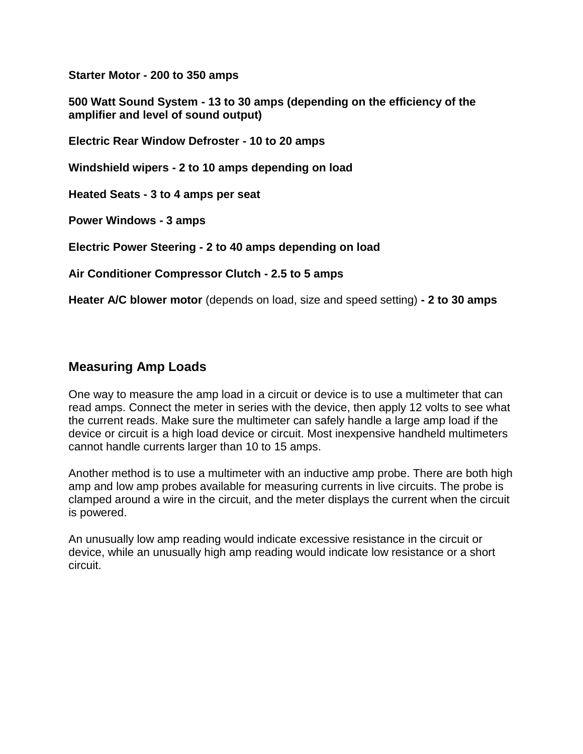**Starter Motor - 200 to 350 amps**

**500 Watt Sound System - 13 to 30 amps (depending on the efficiency of the amplifier and level of sound output)**

**Electric Rear Window Defroster - 10 to 20 amps**

**Windshield wipers - 2 to 10 amps depending on load**

**Heated Seats - 3 to 4 amps per seat**

**Power Windows - 3 amps**

**Electric Power Steering - 2 to 40 amps depending on load**

**Air Conditioner Compressor Clutch - 2.5 to 5 amps**

**Heater A/C blower motor** (depends on load, size and speed setting) **- 2 to 30 amps**

#### **Measuring Amp Loads**

One way to measure the amp load in a circuit or device is to use a multimeter that can read amps. Connect the meter in series with the device, then apply 12 volts to see what the current reads. Make sure the multimeter can safely handle a large amp load if the device or circuit is a high load device or circuit. Most inexpensive handheld multimeters cannot handle currents larger than 10 to 15 amps.

Another method is to use a multimeter with an inductive amp probe. There are both high amp and low amp probes available for measuring currents in live circuits. The probe is clamped around a wire in the circuit, and the meter displays the current when the circuit is powered.

An unusually low amp reading would indicate excessive resistance in the circuit or device, while an unusually high amp reading would indicate low resistance or a short circuit.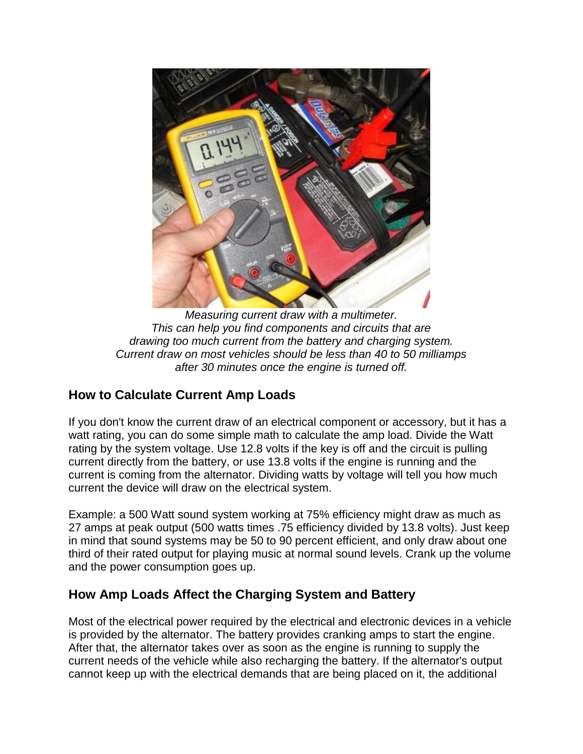

*Measuring current draw with a multimeter. This can help you find components and circuits that are drawing too much current from the battery and charging system. Current draw on most vehicles should be less than 40 to 50 milliamps after 30 minutes once the engine is turned off.*

## **How to Calculate Current Amp Loads**

If you don't know the current draw of an electrical component or accessory, but it has a watt rating, you can do some simple math to calculate the amp load. Divide the Watt rating by the system voltage. Use 12.8 volts if the key is off and the circuit is pulling current directly from the battery, or use 13.8 volts if the engine is running and the current is coming from the alternator. Dividing watts by voltage will tell you how much current the device will draw on the electrical system.

Example: a 500 Watt sound system working at 75% efficiency might draw as much as 27 amps at peak output (500 watts times .75 efficiency divided by 13.8 volts). Just keep in mind that sound systems may be 50 to 90 percent efficient, and only draw about one third of their rated output for playing music at normal sound levels. Crank up the volume and the power consumption goes up.

## **How Amp Loads Affect the Charging System and Battery**

Most of the electrical power required by the electrical and electronic devices in a vehicle is provided by the alternator. The battery provides cranking amps to start the engine. After that, the alternator takes over as soon as the engine is running to supply the current needs of the vehicle while also recharging the battery. If the alternator's output cannot keep up with the electrical demands that are being placed on it, the additional